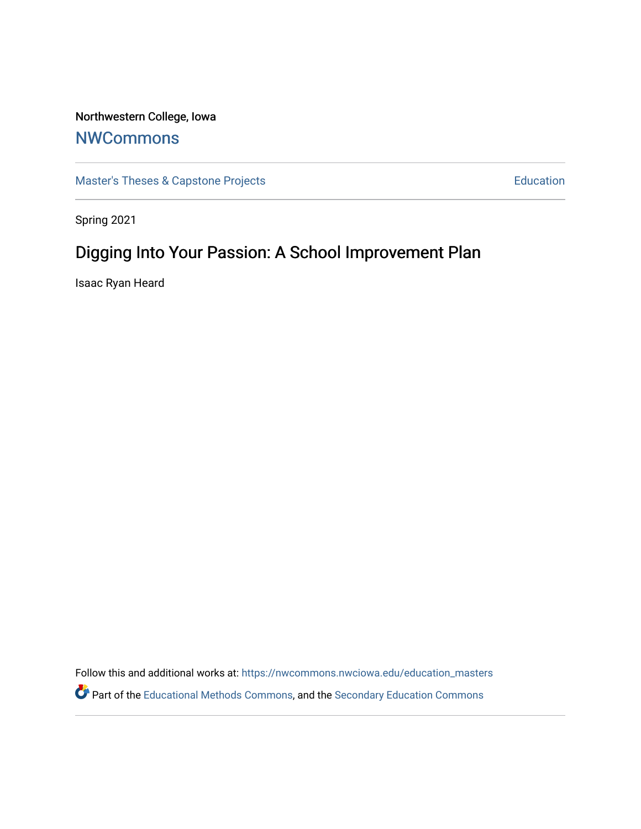# Northwestern College, Iowa

# **[NWCommons](https://nwcommons.nwciowa.edu/)**

[Master's Theses & Capstone Projects](https://nwcommons.nwciowa.edu/education_masters) **Education** Education

Spring 2021

# Digging Into Your Passion: A School Improvement Plan

Isaac Ryan Heard

Follow this and additional works at: [https://nwcommons.nwciowa.edu/education\\_masters](https://nwcommons.nwciowa.edu/education_masters?utm_source=nwcommons.nwciowa.edu%2Feducation_masters%2F286&utm_medium=PDF&utm_campaign=PDFCoverPages) Part of the [Educational Methods Commons,](http://network.bepress.com/hgg/discipline/1227?utm_source=nwcommons.nwciowa.edu%2Feducation_masters%2F286&utm_medium=PDF&utm_campaign=PDFCoverPages) and the [Secondary Education Commons](http://network.bepress.com/hgg/discipline/1382?utm_source=nwcommons.nwciowa.edu%2Feducation_masters%2F286&utm_medium=PDF&utm_campaign=PDFCoverPages)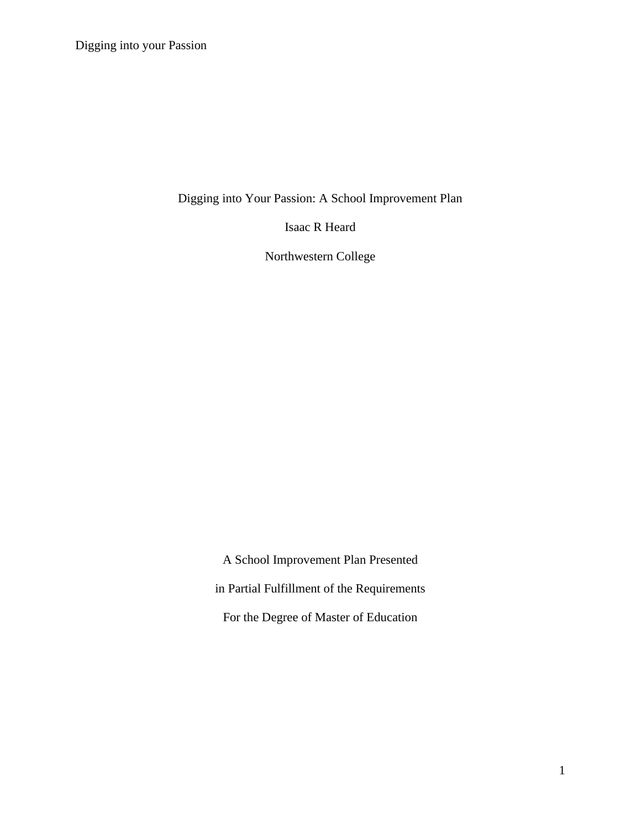Digging into Your Passion: A School Improvement Plan

Isaac R Heard

Northwestern College

A School Improvement Plan Presented in Partial Fulfillment of the Requirements For the Degree of Master of Education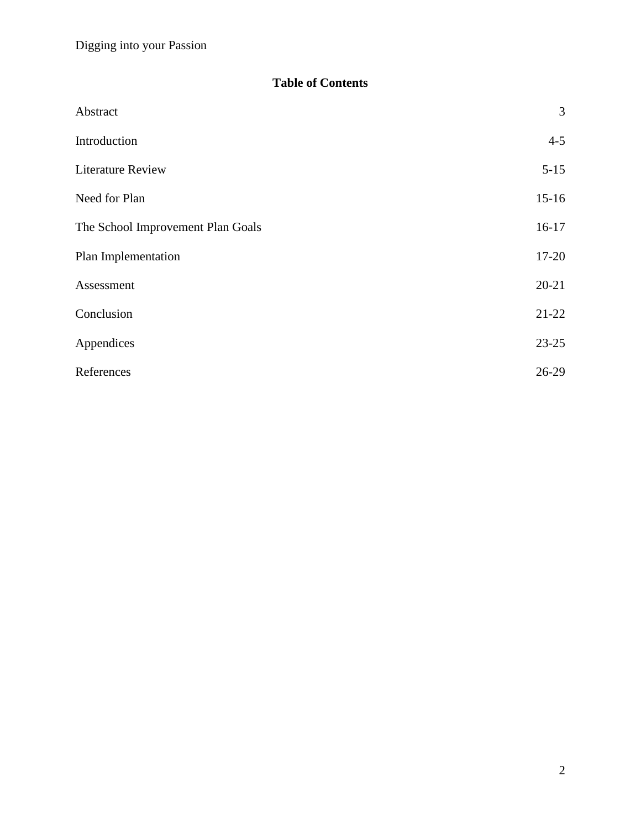# **Table of Contents**

| Abstract                          | 3         |
|-----------------------------------|-----------|
| Introduction                      | $4 - 5$   |
| <b>Literature Review</b>          | $5 - 15$  |
| Need for Plan                     | $15-16$   |
| The School Improvement Plan Goals | $16-17$   |
| Plan Implementation               | $17 - 20$ |
| Assessment                        | $20 - 21$ |
| Conclusion                        | $21-22$   |
| Appendices                        | $23 - 25$ |
| References                        | $26-29$   |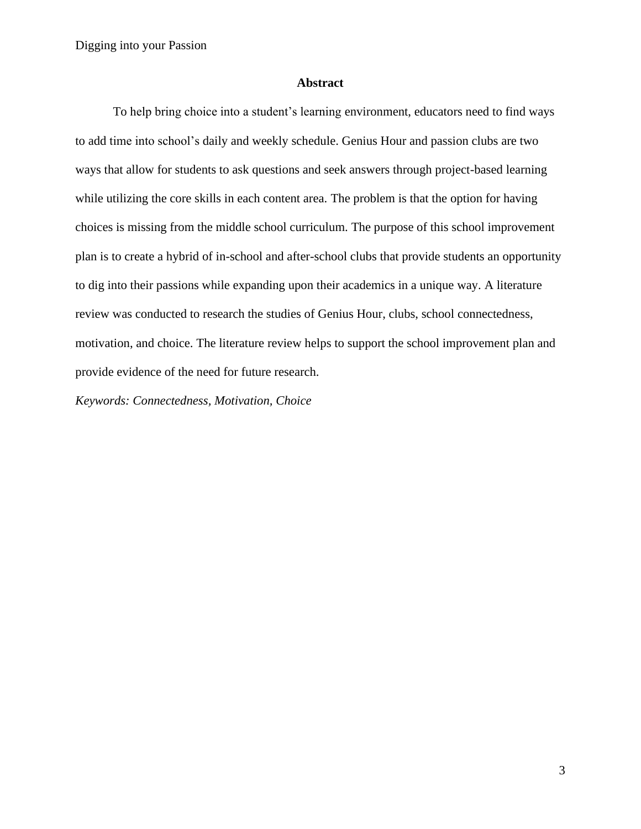#### **Abstract**

To help bring choice into a student's learning environment, educators need to find ways to add time into school's daily and weekly schedule. Genius Hour and passion clubs are two ways that allow for students to ask questions and seek answers through project-based learning while utilizing the core skills in each content area. The problem is that the option for having choices is missing from the middle school curriculum. The purpose of this school improvement plan is to create a hybrid of in-school and after-school clubs that provide students an opportunity to dig into their passions while expanding upon their academics in a unique way. A literature review was conducted to research the studies of Genius Hour, clubs, school connectedness, motivation, and choice. The literature review helps to support the school improvement plan and provide evidence of the need for future research.

*Keywords: Connectedness, Motivation, Choice*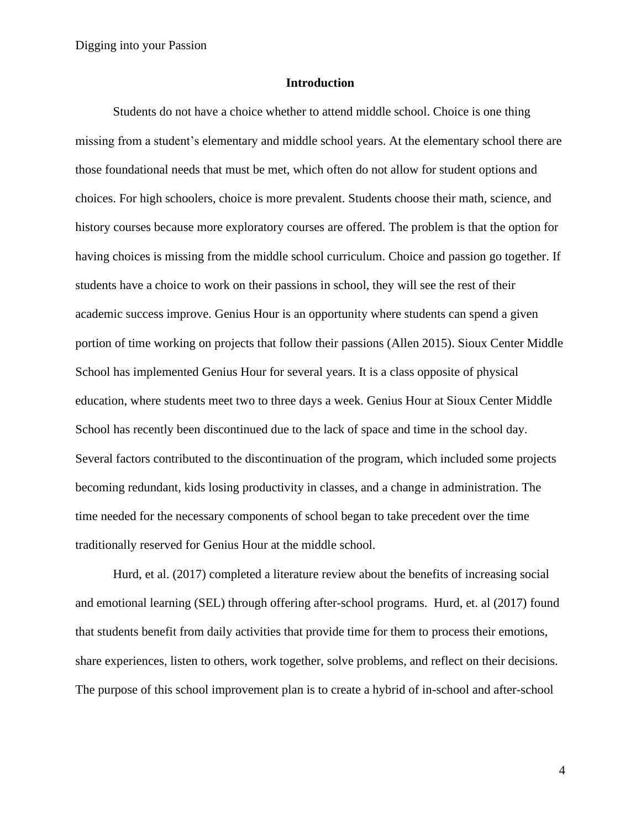#### **Introduction**

Students do not have a choice whether to attend middle school. Choice is one thing missing from a student's elementary and middle school years. At the elementary school there are those foundational needs that must be met, which often do not allow for student options and choices. For high schoolers, choice is more prevalent. Students choose their math, science, and history courses because more exploratory courses are offered. The problem is that the option for having choices is missing from the middle school curriculum. Choice and passion go together. If students have a choice to work on their passions in school, they will see the rest of their academic success improve. Genius Hour is an opportunity where students can spend a given portion of time working on projects that follow their passions (Allen 2015). Sioux Center Middle School has implemented Genius Hour for several years. It is a class opposite of physical education, where students meet two to three days a week. Genius Hour at Sioux Center Middle School has recently been discontinued due to the lack of space and time in the school day. Several factors contributed to the discontinuation of the program, which included some projects becoming redundant, kids losing productivity in classes, and a change in administration. The time needed for the necessary components of school began to take precedent over the time traditionally reserved for Genius Hour at the middle school.

Hurd, et al. (2017) completed a literature review about the benefits of increasing social and emotional learning (SEL) through offering after-school programs. Hurd, et. al (2017) found that students benefit from daily activities that provide time for them to process their emotions, share experiences, listen to others, work together, solve problems, and reflect on their decisions. The purpose of this school improvement plan is to create a hybrid of in-school and after-school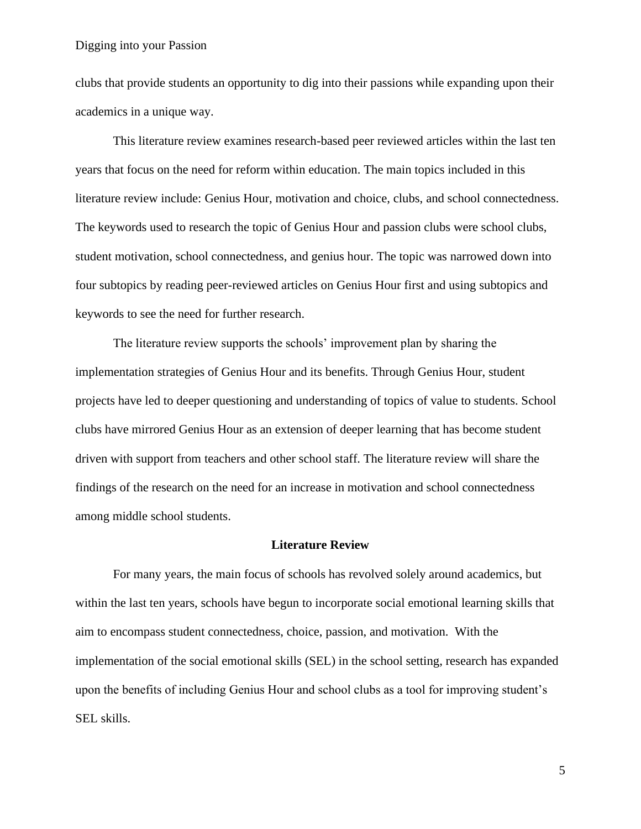clubs that provide students an opportunity to dig into their passions while expanding upon their academics in a unique way.

This literature review examines research-based peer reviewed articles within the last ten years that focus on the need for reform within education. The main topics included in this literature review include: Genius Hour, motivation and choice, clubs, and school connectedness. The keywords used to research the topic of Genius Hour and passion clubs were school clubs, student motivation, school connectedness, and genius hour. The topic was narrowed down into four subtopics by reading peer-reviewed articles on Genius Hour first and using subtopics and keywords to see the need for further research.

The literature review supports the schools' improvement plan by sharing the implementation strategies of Genius Hour and its benefits. Through Genius Hour, student projects have led to deeper questioning and understanding of topics of value to students. School clubs have mirrored Genius Hour as an extension of deeper learning that has become student driven with support from teachers and other school staff. The literature review will share the findings of the research on the need for an increase in motivation and school connectedness among middle school students.

#### **Literature Review**

For many years, the main focus of schools has revolved solely around academics, but within the last ten years, schools have begun to incorporate social emotional learning skills that aim to encompass student connectedness, choice, passion, and motivation. With the implementation of the social emotional skills (SEL) in the school setting, research has expanded upon the benefits of including Genius Hour and school clubs as a tool for improving student's SEL skills.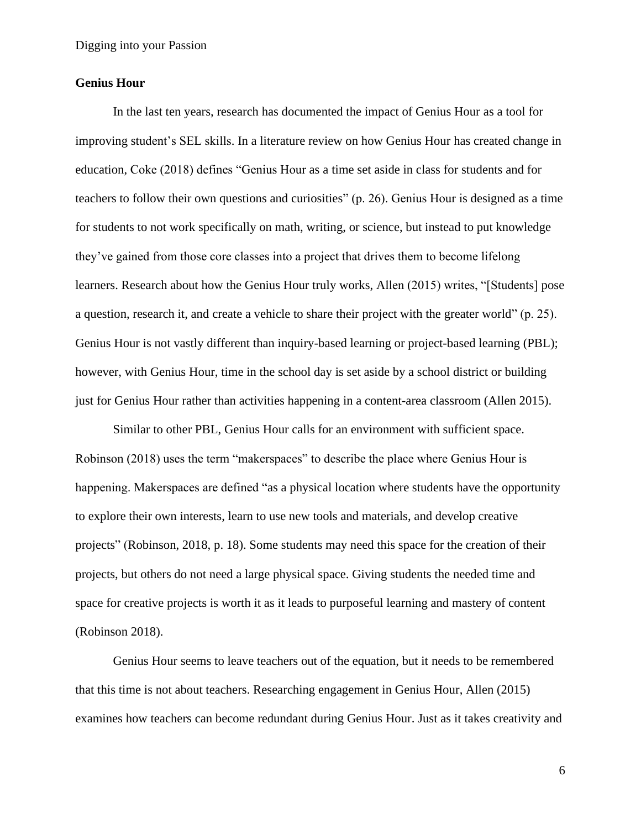### **Genius Hour**

In the last ten years, research has documented the impact of Genius Hour as a tool for improving student's SEL skills. In a literature review on how Genius Hour has created change in education, Coke (2018) defines "Genius Hour as a time set aside in class for students and for teachers to follow their own questions and curiosities" (p. 26). Genius Hour is designed as a time for students to not work specifically on math, writing, or science, but instead to put knowledge they've gained from those core classes into a project that drives them to become lifelong learners. Research about how the Genius Hour truly works, Allen (2015) writes, "[Students] pose a question, research it, and create a vehicle to share their project with the greater world" (p. 25). Genius Hour is not vastly different than inquiry-based learning or project-based learning (PBL); however, with Genius Hour, time in the school day is set aside by a school district or building just for Genius Hour rather than activities happening in a content-area classroom (Allen 2015).

Similar to other PBL, Genius Hour calls for an environment with sufficient space. Robinson (2018) uses the term "makerspaces" to describe the place where Genius Hour is happening. Makerspaces are defined "as a physical location where students have the opportunity to explore their own interests, learn to use new tools and materials, and develop creative projects" (Robinson, 2018, p. 18). Some students may need this space for the creation of their projects, but others do not need a large physical space. Giving students the needed time and space for creative projects is worth it as it leads to purposeful learning and mastery of content (Robinson 2018).

Genius Hour seems to leave teachers out of the equation, but it needs to be remembered that this time is not about teachers. Researching engagement in Genius Hour, Allen (2015) examines how teachers can become redundant during Genius Hour. Just as it takes creativity and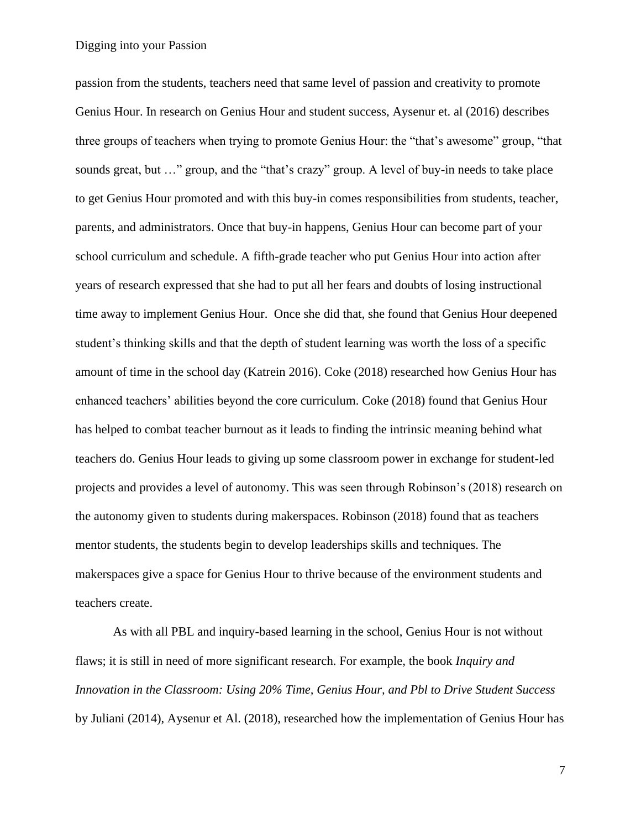passion from the students, teachers need that same level of passion and creativity to promote Genius Hour. In research on Genius Hour and student success, Aysenur et. al (2016) describes three groups of teachers when trying to promote Genius Hour: the "that's awesome" group, "that sounds great, but …" group, and the "that's crazy" group. A level of buy-in needs to take place to get Genius Hour promoted and with this buy-in comes responsibilities from students, teacher, parents, and administrators. Once that buy-in happens, Genius Hour can become part of your school curriculum and schedule. A fifth-grade teacher who put Genius Hour into action after years of research expressed that she had to put all her fears and doubts of losing instructional time away to implement Genius Hour. Once she did that, she found that Genius Hour deepened student's thinking skills and that the depth of student learning was worth the loss of a specific amount of time in the school day (Katrein 2016). Coke (2018) researched how Genius Hour has enhanced teachers' abilities beyond the core curriculum. Coke (2018) found that Genius Hour has helped to combat teacher burnout as it leads to finding the intrinsic meaning behind what teachers do. Genius Hour leads to giving up some classroom power in exchange for student-led projects and provides a level of autonomy. This was seen through Robinson's (2018) research on the autonomy given to students during makerspaces. Robinson (2018) found that as teachers mentor students, the students begin to develop leaderships skills and techniques. The makerspaces give a space for Genius Hour to thrive because of the environment students and teachers create.

As with all PBL and inquiry-based learning in the school, Genius Hour is not without flaws; it is still in need of more significant research. For example, the book *Inquiry and Innovation in the Classroom: Using 20% Time, Genius Hour, and Pbl to Drive Student Success* by Juliani (2014), Aysenur et Al. (2018), researched how the implementation of Genius Hour has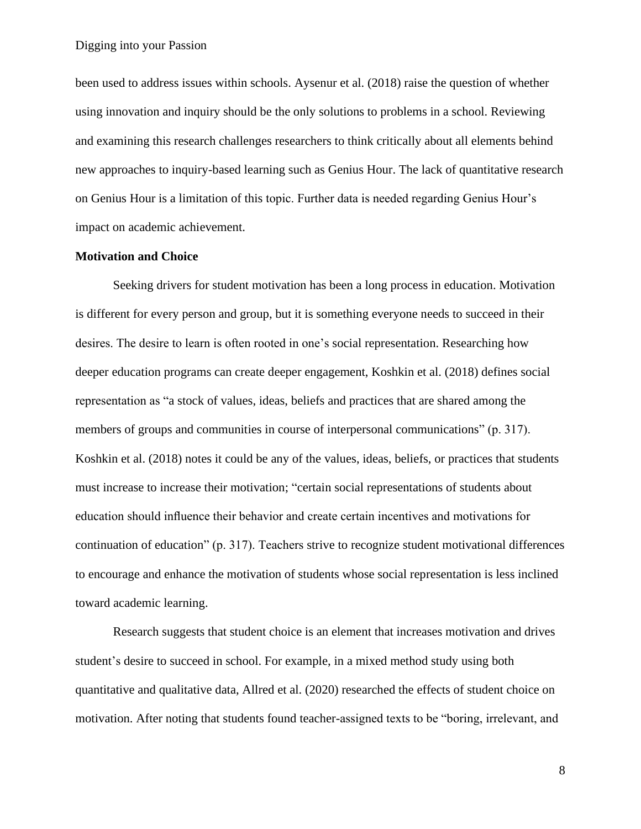been used to address issues within schools. Aysenur et al. (2018) raise the question of whether using innovation and inquiry should be the only solutions to problems in a school. Reviewing and examining this research challenges researchers to think critically about all elements behind new approaches to inquiry-based learning such as Genius Hour. The lack of quantitative research on Genius Hour is a limitation of this topic. Further data is needed regarding Genius Hour's impact on academic achievement.

#### **Motivation and Choice**

Seeking drivers for student motivation has been a long process in education. Motivation is different for every person and group, but it is something everyone needs to succeed in their desires. The desire to learn is often rooted in one's social representation. Researching how deeper education programs can create deeper engagement, Koshkin et al. (2018) defines social representation as "a stock of values, ideas, beliefs and practices that are shared among the members of groups and communities in course of interpersonal communications" (p. 317). Koshkin et al. (2018) notes it could be any of the values, ideas, beliefs, or practices that students must increase to increase their motivation; "certain social representations of students about education should influence their behavior and create certain incentives and motivations for continuation of education" (p. 317). Teachers strive to recognize student motivational differences to encourage and enhance the motivation of students whose social representation is less inclined toward academic learning.

Research suggests that student choice is an element that increases motivation and drives student's desire to succeed in school. For example, in a mixed method study using both quantitative and qualitative data, Allred et al. (2020) researched the effects of student choice on motivation. After noting that students found teacher-assigned texts to be "boring, irrelevant, and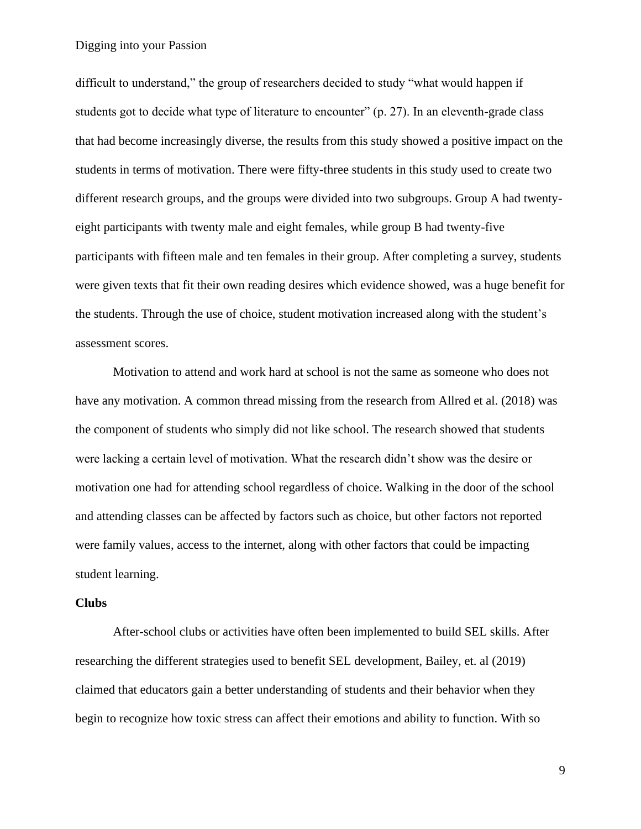difficult to understand," the group of researchers decided to study "what would happen if students got to decide what type of literature to encounter" (p. 27). In an eleventh-grade class that had become increasingly diverse, the results from this study showed a positive impact on the students in terms of motivation. There were fifty-three students in this study used to create two different research groups, and the groups were divided into two subgroups. Group A had twentyeight participants with twenty male and eight females, while group B had twenty-five participants with fifteen male and ten females in their group. After completing a survey, students were given texts that fit their own reading desires which evidence showed, was a huge benefit for the students. Through the use of choice, student motivation increased along with the student's assessment scores.

Motivation to attend and work hard at school is not the same as someone who does not have any motivation. A common thread missing from the research from Allred et al. (2018) was the component of students who simply did not like school. The research showed that students were lacking a certain level of motivation. What the research didn't show was the desire or motivation one had for attending school regardless of choice. Walking in the door of the school and attending classes can be affected by factors such as choice, but other factors not reported were family values, access to the internet, along with other factors that could be impacting student learning.

#### **Clubs**

After-school clubs or activities have often been implemented to build SEL skills. After researching the different strategies used to benefit SEL development, Bailey, et. al (2019) claimed that educators gain a better understanding of students and their behavior when they begin to recognize how toxic stress can affect their emotions and ability to function. With so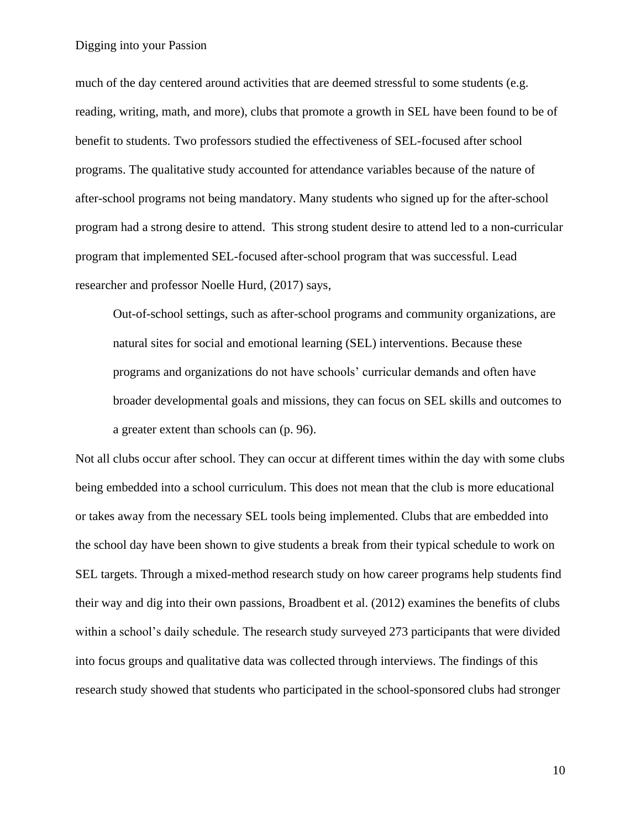much of the day centered around activities that are deemed stressful to some students (e.g. reading, writing, math, and more), clubs that promote a growth in SEL have been found to be of benefit to students. Two professors studied the effectiveness of SEL-focused after school programs. The qualitative study accounted for attendance variables because of the nature of after-school programs not being mandatory. Many students who signed up for the after-school program had a strong desire to attend. This strong student desire to attend led to a non-curricular program that implemented SEL-focused after-school program that was successful. Lead researcher and professor Noelle Hurd, (2017) says,

Out-of-school settings, such as after-school programs and community organizations, are natural sites for social and emotional learning (SEL) interventions. Because these programs and organizations do not have schools' curricular demands and often have broader developmental goals and missions, they can focus on SEL skills and outcomes to a greater extent than schools can (p. 96).

Not all clubs occur after school. They can occur at different times within the day with some clubs being embedded into a school curriculum. This does not mean that the club is more educational or takes away from the necessary SEL tools being implemented. Clubs that are embedded into the school day have been shown to give students a break from their typical schedule to work on SEL targets. Through a mixed-method research study on how career programs help students find their way and dig into their own passions, Broadbent et al. (2012) examines the benefits of clubs within a school's daily schedule. The research study surveyed 273 participants that were divided into focus groups and qualitative data was collected through interviews. The findings of this research study showed that students who participated in the school-sponsored clubs had stronger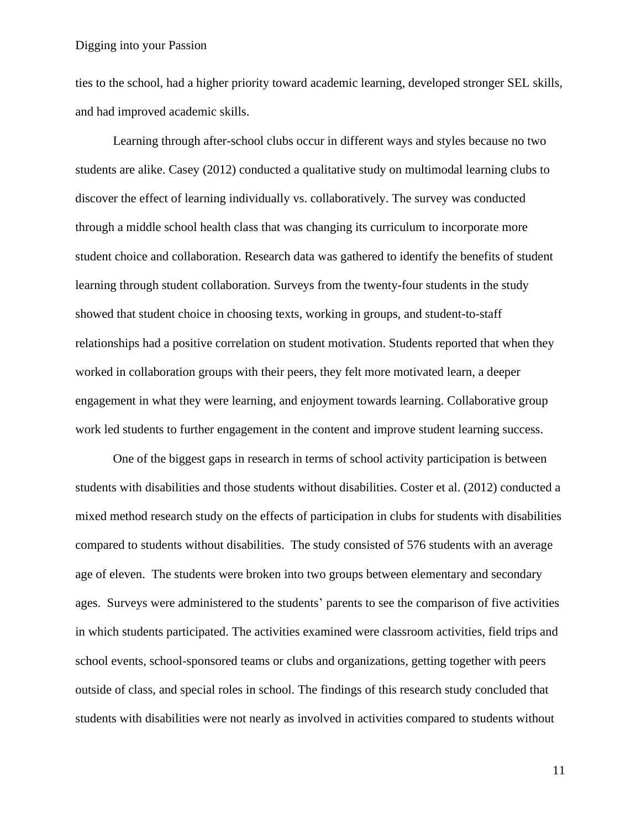ties to the school, had a higher priority toward academic learning, developed stronger SEL skills, and had improved academic skills.

Learning through after-school clubs occur in different ways and styles because no two students are alike. Casey (2012) conducted a qualitative study on multimodal learning clubs to discover the effect of learning individually vs. collaboratively. The survey was conducted through a middle school health class that was changing its curriculum to incorporate more student choice and collaboration. Research data was gathered to identify the benefits of student learning through student collaboration. Surveys from the twenty-four students in the study showed that student choice in choosing texts, working in groups, and student-to-staff relationships had a positive correlation on student motivation. Students reported that when they worked in collaboration groups with their peers, they felt more motivated learn, a deeper engagement in what they were learning, and enjoyment towards learning. Collaborative group work led students to further engagement in the content and improve student learning success.

One of the biggest gaps in research in terms of school activity participation is between students with disabilities and those students without disabilities. Coster et al. (2012) conducted a mixed method research study on the effects of participation in clubs for students with disabilities compared to students without disabilities. The study consisted of 576 students with an average age of eleven. The students were broken into two groups between elementary and secondary ages. Surveys were administered to the students' parents to see the comparison of five activities in which students participated. The activities examined were classroom activities, field trips and school events, school-sponsored teams or clubs and organizations, getting together with peers outside of class, and special roles in school. The findings of this research study concluded that students with disabilities were not nearly as involved in activities compared to students without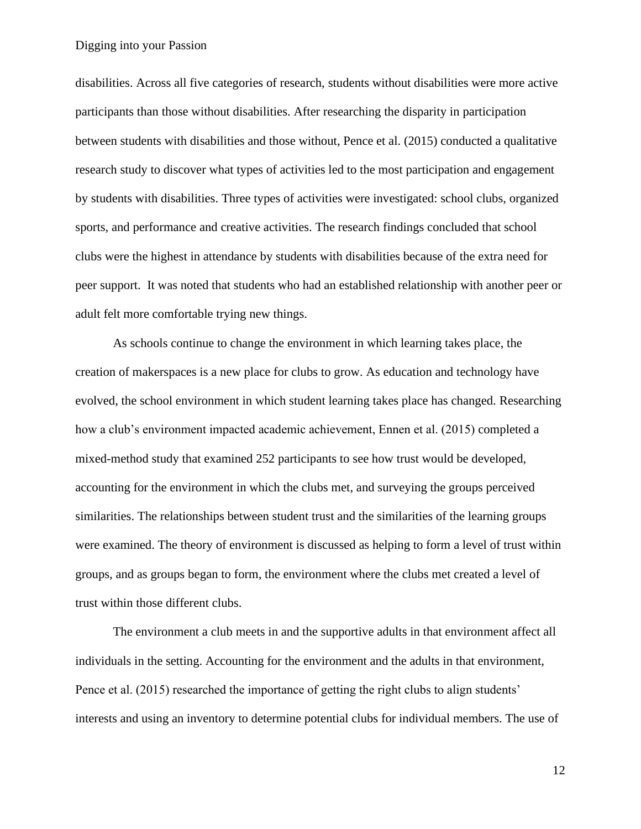disabilities. Across all five categories of research, students without disabilities were more active participants than those without disabilities. After researching the disparity in participation between students with disabilities and those without, Pence et al. (2015) conducted a qualitative research study to discover what types of activities led to the most participation and engagement by students with disabilities. Three types of activities were investigated: school clubs, organized sports, and performance and creative activities. The research findings concluded that school clubs were the highest in attendance by students with disabilities because of the extra need for peer support. It was noted that students who had an established relationship with another peer or adult felt more comfortable trying new things.

As schools continue to change the environment in which learning takes place, the creation of makerspaces is a new place for clubs to grow. As education and technology have evolved, the school environment in which student learning takes place has changed. Researching how a club's environment impacted academic achievement, Ennen et al. (2015) completed a mixed-method study that examined 252 participants to see how trust would be developed, accounting for the environment in which the clubs met, and surveying the groups perceived similarities. The relationships between student trust and the similarities of the learning groups were examined. The theory of environment is discussed as helping to form a level of trust within groups, and as groups began to form, the environment where the clubs met created a level of trust within those different clubs.

The environment a club meets in and the supportive adults in that environment affect all individuals in the setting. Accounting for the environment and the adults in that environment, Pence et al. (2015) researched the importance of getting the right clubs to align students' interests and using an inventory to determine potential clubs for individual members. The use of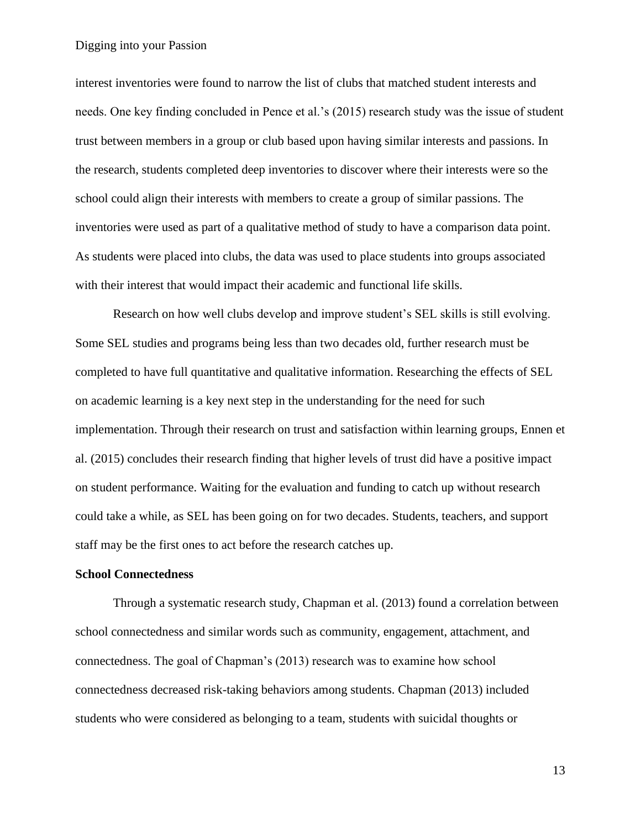interest inventories were found to narrow the list of clubs that matched student interests and needs. One key finding concluded in Pence et al.'s (2015) research study was the issue of student trust between members in a group or club based upon having similar interests and passions. In the research, students completed deep inventories to discover where their interests were so the school could align their interests with members to create a group of similar passions. The inventories were used as part of a qualitative method of study to have a comparison data point. As students were placed into clubs, the data was used to place students into groups associated with their interest that would impact their academic and functional life skills.

Research on how well clubs develop and improve student's SEL skills is still evolving. Some SEL studies and programs being less than two decades old, further research must be completed to have full quantitative and qualitative information. Researching the effects of SEL on academic learning is a key next step in the understanding for the need for such implementation. Through their research on trust and satisfaction within learning groups, Ennen et al. (2015) concludes their research finding that higher levels of trust did have a positive impact on student performance. Waiting for the evaluation and funding to catch up without research could take a while, as SEL has been going on for two decades. Students, teachers, and support staff may be the first ones to act before the research catches up.

#### **School Connectedness**

Through a systematic research study, Chapman et al. (2013) found a correlation between school connectedness and similar words such as community, engagement, attachment, and connectedness. The goal of Chapman's (2013) research was to examine how school connectedness decreased risk-taking behaviors among students. Chapman (2013) included students who were considered as belonging to a team, students with suicidal thoughts or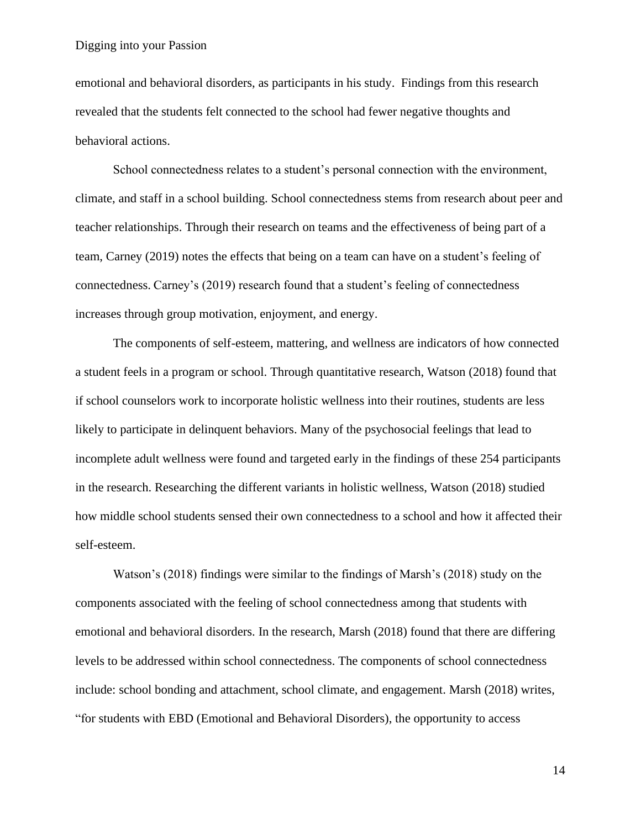emotional and behavioral disorders, as participants in his study. Findings from this research revealed that the students felt connected to the school had fewer negative thoughts and behavioral actions.

School connectedness relates to a student's personal connection with the environment, climate, and staff in a school building. School connectedness stems from research about peer and teacher relationships. Through their research on teams and the effectiveness of being part of a team, Carney (2019) notes the effects that being on a team can have on a student's feeling of connectedness. Carney's (2019) research found that a student's feeling of connectedness increases through group motivation, enjoyment, and energy.

The components of self-esteem, mattering, and wellness are indicators of how connected a student feels in a program or school. Through quantitative research, Watson (2018) found that if school counselors work to incorporate holistic wellness into their routines, students are less likely to participate in delinquent behaviors. Many of the psychosocial feelings that lead to incomplete adult wellness were found and targeted early in the findings of these 254 participants in the research. Researching the different variants in holistic wellness, Watson (2018) studied how middle school students sensed their own connectedness to a school and how it affected their self-esteem.

Watson's (2018) findings were similar to the findings of Marsh's (2018) study on the components associated with the feeling of school connectedness among that students with emotional and behavioral disorders. In the research, Marsh (2018) found that there are differing levels to be addressed within school connectedness. The components of school connectedness include: school bonding and attachment, school climate, and engagement. Marsh (2018) writes, "for students with EBD (Emotional and Behavioral Disorders), the opportunity to access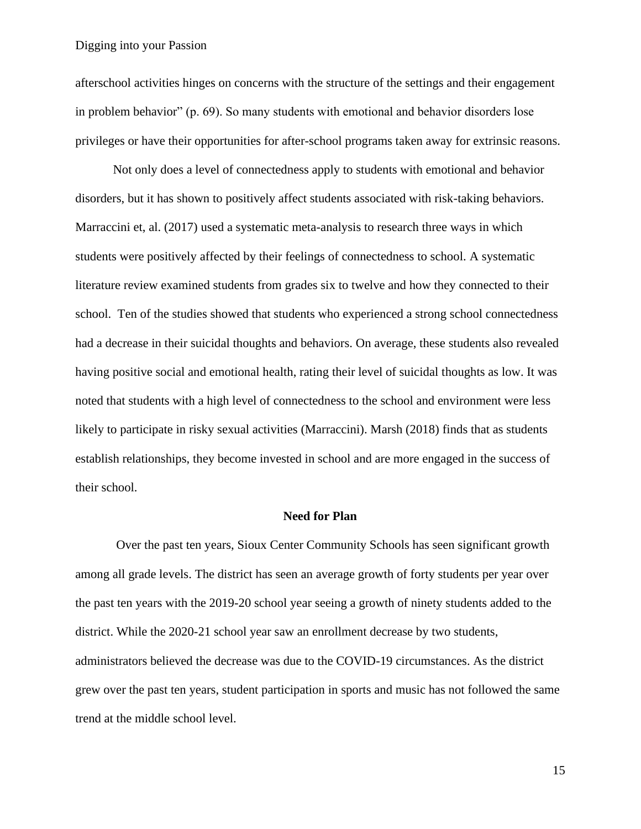afterschool activities hinges on concerns with the structure of the settings and their engagement in problem behavior" (p. 69). So many students with emotional and behavior disorders lose privileges or have their opportunities for after-school programs taken away for extrinsic reasons.

Not only does a level of connectedness apply to students with emotional and behavior disorders, but it has shown to positively affect students associated with risk-taking behaviors. Marraccini et, al. (2017) used a systematic meta-analysis to research three ways in which students were positively affected by their feelings of connectedness to school. A systematic literature review examined students from grades six to twelve and how they connected to their school. Ten of the studies showed that students who experienced a strong school connectedness had a decrease in their suicidal thoughts and behaviors. On average, these students also revealed having positive social and emotional health, rating their level of suicidal thoughts as low. It was noted that students with a high level of connectedness to the school and environment were less likely to participate in risky sexual activities (Marraccini). Marsh (2018) finds that as students establish relationships, they become invested in school and are more engaged in the success of their school.

#### **Need for Plan**

Over the past ten years, Sioux Center Community Schools has seen significant growth among all grade levels. The district has seen an average growth of forty students per year over the past ten years with the 2019-20 school year seeing a growth of ninety students added to the district. While the 2020-21 school year saw an enrollment decrease by two students, administrators believed the decrease was due to the COVID-19 circumstances. As the district grew over the past ten years, student participation in sports and music has not followed the same trend at the middle school level.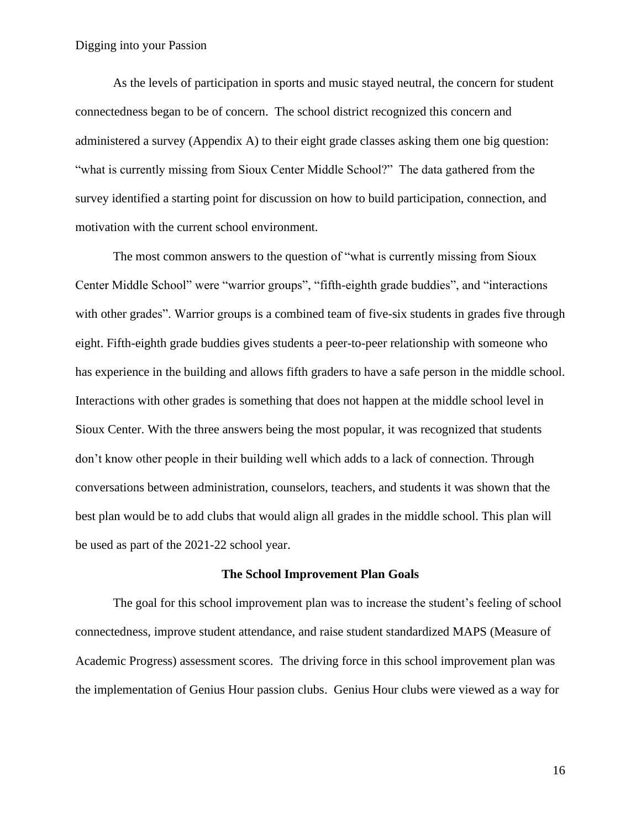As the levels of participation in sports and music stayed neutral, the concern for student connectedness began to be of concern. The school district recognized this concern and administered a survey (Appendix A) to their eight grade classes asking them one big question: "what is currently missing from Sioux Center Middle School?" The data gathered from the survey identified a starting point for discussion on how to build participation, connection, and motivation with the current school environment.

The most common answers to the question of "what is currently missing from Sioux Center Middle School" were "warrior groups", "fifth-eighth grade buddies", and "interactions with other grades". Warrior groups is a combined team of five-six students in grades five through eight. Fifth-eighth grade buddies gives students a peer-to-peer relationship with someone who has experience in the building and allows fifth graders to have a safe person in the middle school. Interactions with other grades is something that does not happen at the middle school level in Sioux Center. With the three answers being the most popular, it was recognized that students don't know other people in their building well which adds to a lack of connection. Through conversations between administration, counselors, teachers, and students it was shown that the best plan would be to add clubs that would align all grades in the middle school. This plan will be used as part of the 2021-22 school year.

#### **The School Improvement Plan Goals**

The goal for this school improvement plan was to increase the student's feeling of school connectedness, improve student attendance, and raise student standardized MAPS (Measure of Academic Progress) assessment scores. The driving force in this school improvement plan was the implementation of Genius Hour passion clubs. Genius Hour clubs were viewed as a way for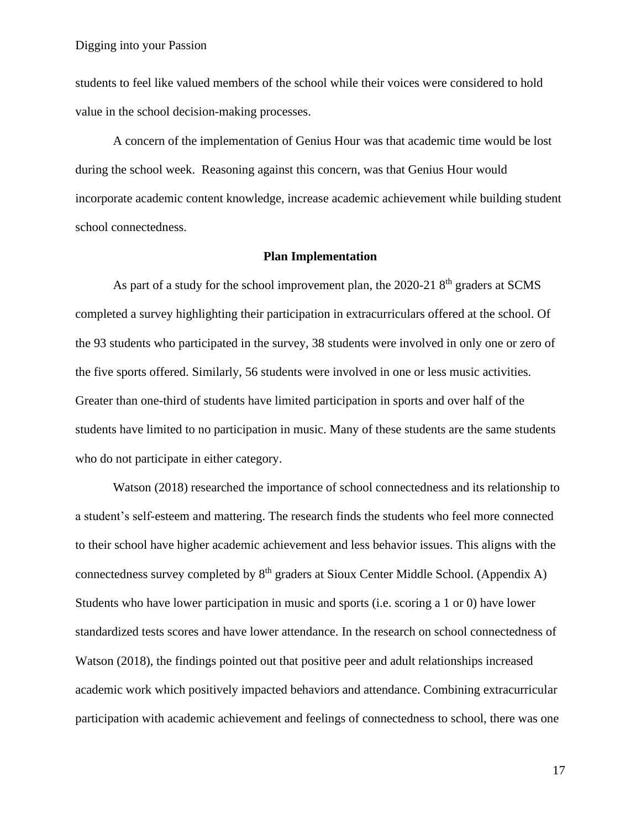students to feel like valued members of the school while their voices were considered to hold value in the school decision-making processes.

A concern of the implementation of Genius Hour was that academic time would be lost during the school week. Reasoning against this concern, was that Genius Hour would incorporate academic content knowledge, increase academic achievement while building student school connectedness.

#### **Plan Implementation**

As part of a study for the school improvement plan, the 2020-21 8<sup>th</sup> graders at SCMS completed a survey highlighting their participation in extracurriculars offered at the school. Of the 93 students who participated in the survey, 38 students were involved in only one or zero of the five sports offered. Similarly, 56 students were involved in one or less music activities. Greater than one-third of students have limited participation in sports and over half of the students have limited to no participation in music. Many of these students are the same students who do not participate in either category.

Watson (2018) researched the importance of school connectedness and its relationship to a student's self-esteem and mattering. The research finds the students who feel more connected to their school have higher academic achievement and less behavior issues. This aligns with the connectedness survey completed by  $8<sup>th</sup>$  graders at Sioux Center Middle School. (Appendix A) Students who have lower participation in music and sports (i.e. scoring a 1 or 0) have lower standardized tests scores and have lower attendance. In the research on school connectedness of Watson (2018), the findings pointed out that positive peer and adult relationships increased academic work which positively impacted behaviors and attendance. Combining extracurricular participation with academic achievement and feelings of connectedness to school, there was one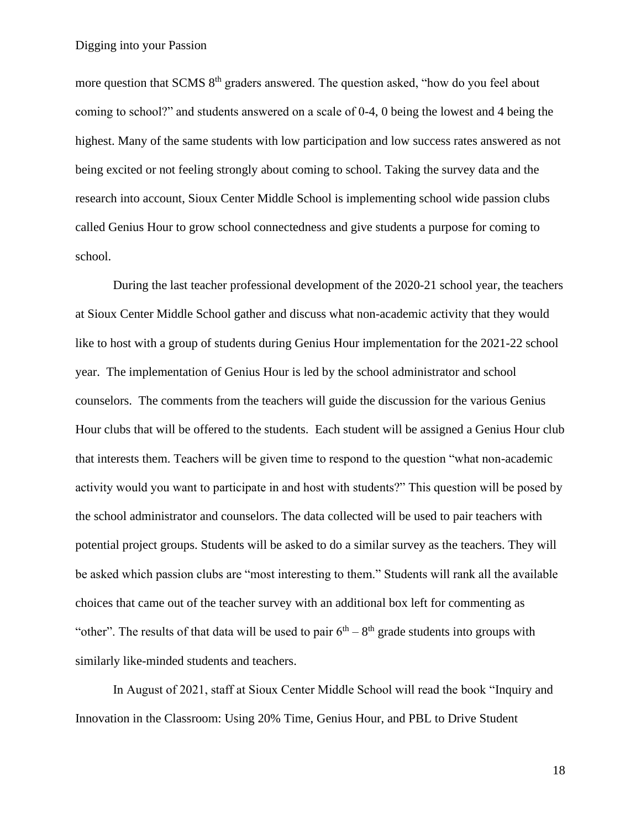more question that SCMS 8<sup>th</sup> graders answered. The question asked, "how do you feel about coming to school?" and students answered on a scale of 0-4, 0 being the lowest and 4 being the highest. Many of the same students with low participation and low success rates answered as not being excited or not feeling strongly about coming to school. Taking the survey data and the research into account, Sioux Center Middle School is implementing school wide passion clubs called Genius Hour to grow school connectedness and give students a purpose for coming to school.

During the last teacher professional development of the 2020-21 school year, the teachers at Sioux Center Middle School gather and discuss what non-academic activity that they would like to host with a group of students during Genius Hour implementation for the 2021-22 school year. The implementation of Genius Hour is led by the school administrator and school counselors. The comments from the teachers will guide the discussion for the various Genius Hour clubs that will be offered to the students. Each student will be assigned a Genius Hour club that interests them. Teachers will be given time to respond to the question "what non-academic activity would you want to participate in and host with students?" This question will be posed by the school administrator and counselors. The data collected will be used to pair teachers with potential project groups. Students will be asked to do a similar survey as the teachers. They will be asked which passion clubs are "most interesting to them." Students will rank all the available choices that came out of the teacher survey with an additional box left for commenting as "other". The results of that data will be used to pair  $6<sup>th</sup> - 8<sup>th</sup>$  grade students into groups with similarly like-minded students and teachers.

In August of 2021, staff at Sioux Center Middle School will read the book "Inquiry and Innovation in the Classroom: Using 20% Time, Genius Hour, and PBL to Drive Student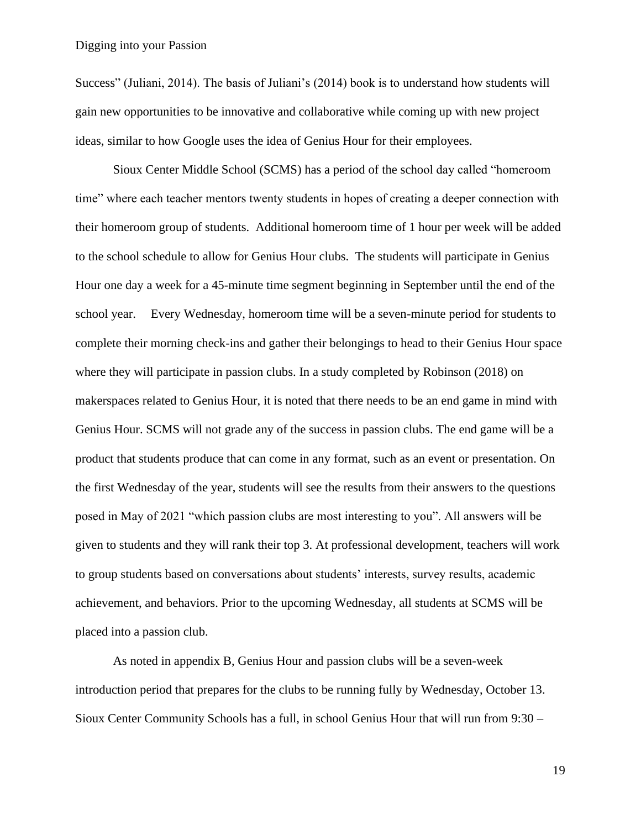Success" (Juliani, 2014). The basis of Juliani's (2014) book is to understand how students will gain new opportunities to be innovative and collaborative while coming up with new project ideas, similar to how Google uses the idea of Genius Hour for their employees.

Sioux Center Middle School (SCMS) has a period of the school day called "homeroom time" where each teacher mentors twenty students in hopes of creating a deeper connection with their homeroom group of students. Additional homeroom time of 1 hour per week will be added to the school schedule to allow for Genius Hour clubs. The students will participate in Genius Hour one day a week for a 45-minute time segment beginning in September until the end of the school year. Every Wednesday, homeroom time will be a seven-minute period for students to complete their morning check-ins and gather their belongings to head to their Genius Hour space where they will participate in passion clubs. In a study completed by Robinson (2018) on makerspaces related to Genius Hour, it is noted that there needs to be an end game in mind with Genius Hour. SCMS will not grade any of the success in passion clubs. The end game will be a product that students produce that can come in any format, such as an event or presentation. On the first Wednesday of the year, students will see the results from their answers to the questions posed in May of 2021 "which passion clubs are most interesting to you". All answers will be given to students and they will rank their top 3. At professional development, teachers will work to group students based on conversations about students' interests, survey results, academic achievement, and behaviors. Prior to the upcoming Wednesday, all students at SCMS will be placed into a passion club.

As noted in appendix B, Genius Hour and passion clubs will be a seven-week introduction period that prepares for the clubs to be running fully by Wednesday, October 13. Sioux Center Community Schools has a full, in school Genius Hour that will run from 9:30 –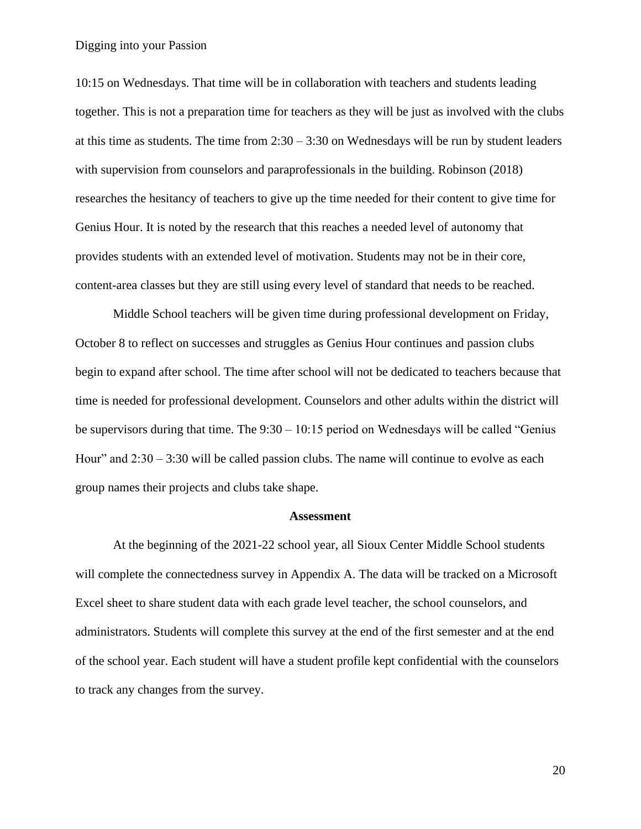10:15 on Wednesdays. That time will be in collaboration with teachers and students leading together. This is not a preparation time for teachers as they will be just as involved with the clubs at this time as students. The time from  $2:30 - 3:30$  on Wednesdays will be run by student leaders with supervision from counselors and paraprofessionals in the building. Robinson (2018) researches the hesitancy of teachers to give up the time needed for their content to give time for Genius Hour. It is noted by the research that this reaches a needed level of autonomy that provides students with an extended level of motivation. Students may not be in their core, content-area classes but they are still using every level of standard that needs to be reached.

Middle School teachers will be given time during professional development on Friday, October 8 to reflect on successes and struggles as Genius Hour continues and passion clubs begin to expand after school. The time after school will not be dedicated to teachers because that time is needed for professional development. Counselors and other adults within the district will be supervisors during that time. The 9:30 – 10:15 period on Wednesdays will be called "Genius Hour" and  $2:30 - 3:30$  will be called passion clubs. The name will continue to evolve as each group names their projects and clubs take shape.

#### **Assessment**

At the beginning of the 2021-22 school year, all Sioux Center Middle School students will complete the connectedness survey in Appendix A. The data will be tracked on a Microsoft Excel sheet to share student data with each grade level teacher, the school counselors, and administrators. Students will complete this survey at the end of the first semester and at the end of the school year. Each student will have a student profile kept confidential with the counselors to track any changes from the survey.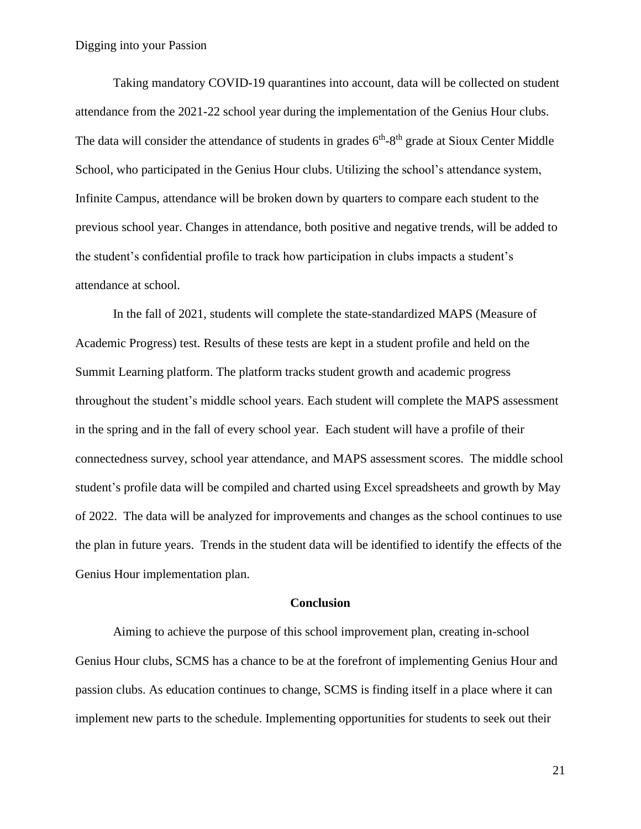Taking mandatory COVID-19 quarantines into account, data will be collected on student attendance from the 2021-22 school year during the implementation of the Genius Hour clubs. The data will consider the attendance of students in grades  $6<sup>th</sup>-8<sup>th</sup>$  grade at Sioux Center Middle School, who participated in the Genius Hour clubs. Utilizing the school's attendance system, Infinite Campus, attendance will be broken down by quarters to compare each student to the previous school year. Changes in attendance, both positive and negative trends, will be added to the student's confidential profile to track how participation in clubs impacts a student's attendance at school.

In the fall of 2021, students will complete the state-standardized MAPS (Measure of Academic Progress) test. Results of these tests are kept in a student profile and held on the Summit Learning platform. The platform tracks student growth and academic progress throughout the student's middle school years. Each student will complete the MAPS assessment in the spring and in the fall of every school year. Each student will have a profile of their connectedness survey, school year attendance, and MAPS assessment scores. The middle school student's profile data will be compiled and charted using Excel spreadsheets and growth by May of 2022. The data will be analyzed for improvements and changes as the school continues to use the plan in future years. Trends in the student data will be identified to identify the effects of the Genius Hour implementation plan.

#### **Conclusion**

Aiming to achieve the purpose of this school improvement plan, creating in-school Genius Hour clubs, SCMS has a chance to be at the forefront of implementing Genius Hour and passion clubs. As education continues to change, SCMS is finding itself in a place where it can implement new parts to the schedule. Implementing opportunities for students to seek out their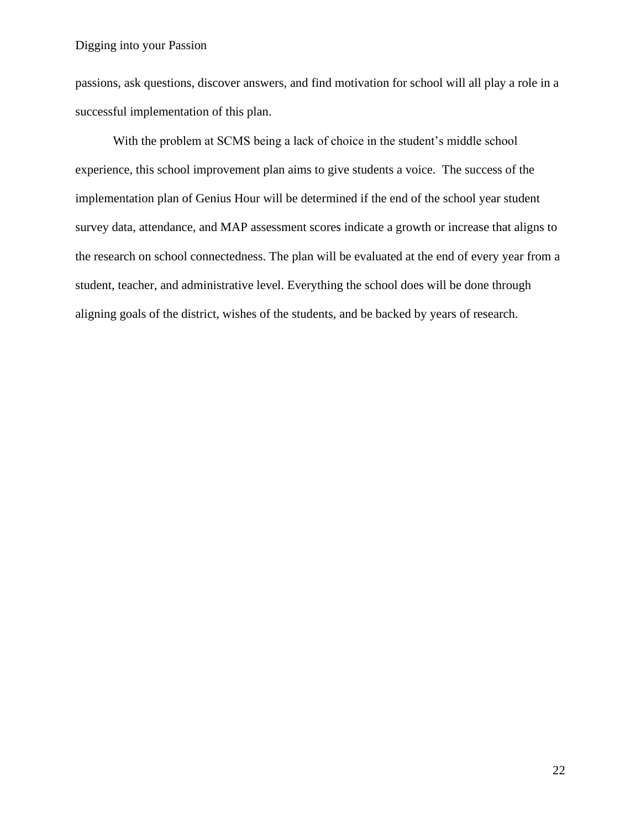passions, ask questions, discover answers, and find motivation for school will all play a role in a successful implementation of this plan.

With the problem at SCMS being a lack of choice in the student's middle school experience, this school improvement plan aims to give students a voice. The success of the implementation plan of Genius Hour will be determined if the end of the school year student survey data, attendance, and MAP assessment scores indicate a growth or increase that aligns to the research on school connectedness. The plan will be evaluated at the end of every year from a student, teacher, and administrative level. Everything the school does will be done through aligning goals of the district, wishes of the students, and be backed by years of research.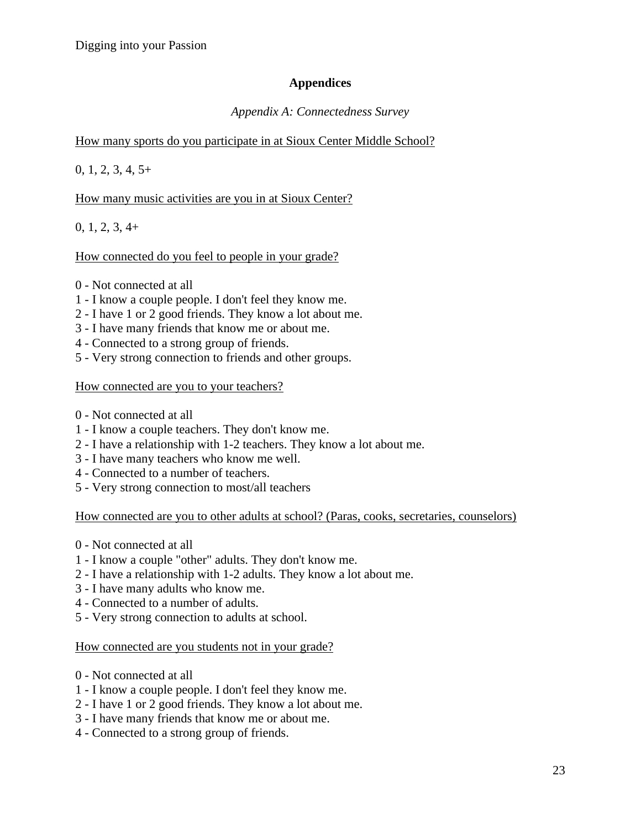# **Appendices**

# *Appendix A: Connectedness Survey*

# How many sports do you participate in at Sioux Center Middle School?

 $0, 1, 2, 3, 4, 5+$ 

# How many music activities are you in at Sioux Center?

0, 1, 2, 3, 4+

How connected do you feel to people in your grade?

- 0 Not connected at all
- 1 I know a couple people. I don't feel they know me.
- 2 I have 1 or 2 good friends. They know a lot about me.
- 3 I have many friends that know me or about me.
- 4 Connected to a strong group of friends.
- 5 Very strong connection to friends and other groups.

## How connected are you to your teachers?

- 0 Not connected at all
- 1 I know a couple teachers. They don't know me.
- 2 I have a relationship with 1-2 teachers. They know a lot about me.
- 3 I have many teachers who know me well.
- 4 Connected to a number of teachers.
- 5 Very strong connection to most/all teachers

How connected are you to other adults at school? (Paras, cooks, secretaries, counselors)

- 0 Not connected at all
- 1 I know a couple "other" adults. They don't know me.
- 2 I have a relationship with 1-2 adults. They know a lot about me.
- 3 I have many adults who know me.
- 4 Connected to a number of adults.
- 5 Very strong connection to adults at school.

### How connected are you students not in your grade?

- 0 Not connected at all
- 1 I know a couple people. I don't feel they know me.
- 2 I have 1 or 2 good friends. They know a lot about me.
- 3 I have many friends that know me or about me.
- 4 Connected to a strong group of friends.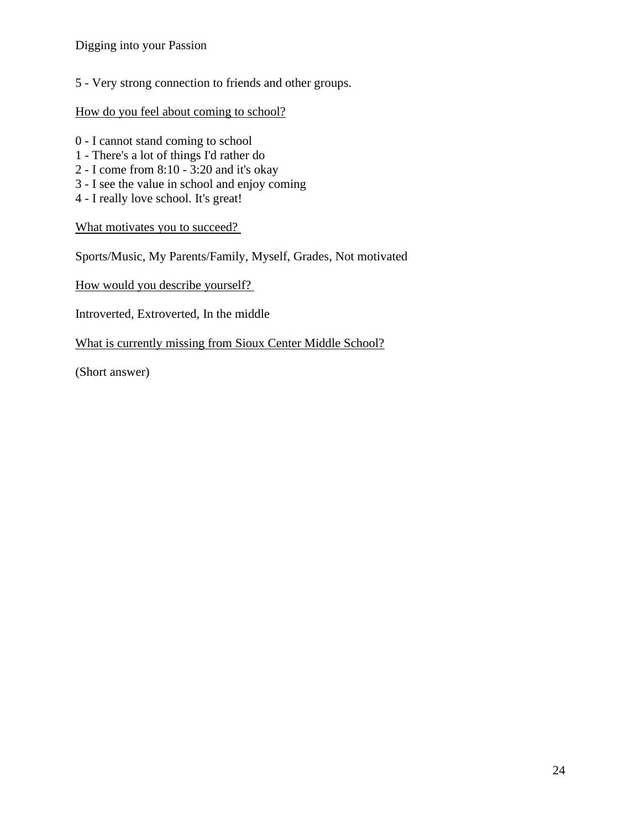5 - Very strong connection to friends and other groups.

## How do you feel about coming to school?

- 0 I cannot stand coming to school
- 1 There's a lot of things I'd rather do
- 2 I come from 8:10 3:20 and it's okay
- 3 I see the value in school and enjoy coming
- 4 I really love school. It's great!

What motivates you to succeed?

Sports/Music, My Parents/Family, Myself, Grades, Not motivated

How would you describe yourself?

Introverted, Extroverted, In the middle

What is currently missing from Sioux Center Middle School?

(Short answer)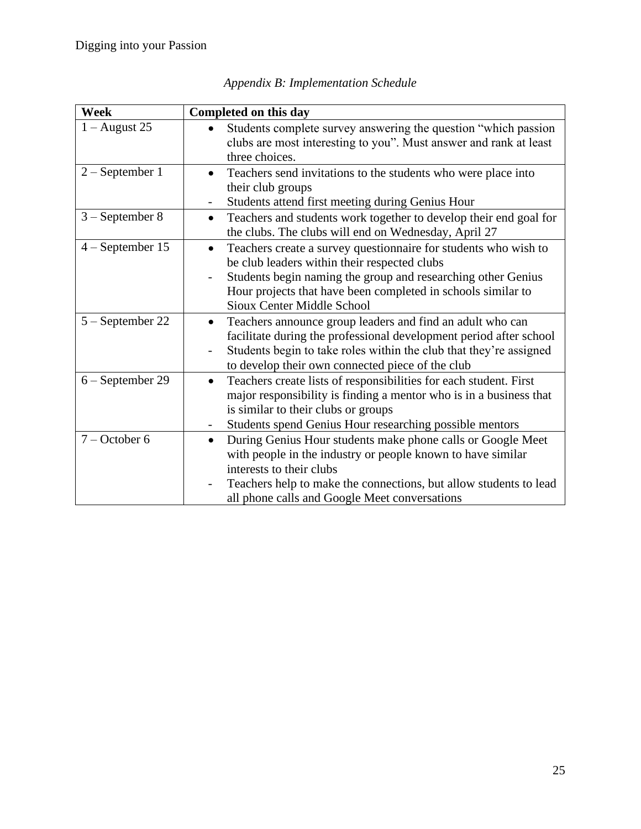| <b>Week</b>        | Completed on this day                                                                                                                                                                                                                                                                                                         |
|--------------------|-------------------------------------------------------------------------------------------------------------------------------------------------------------------------------------------------------------------------------------------------------------------------------------------------------------------------------|
| $1 -$ August 25    | Students complete survey answering the question "which passion<br>clubs are most interesting to you". Must answer and rank at least<br>three choices.                                                                                                                                                                         |
| $2 - September 1$  | Teachers send invitations to the students who were place into<br>their club groups<br>Students attend first meeting during Genius Hour<br>$\overline{\phantom{a}}$                                                                                                                                                            |
| $3 - September 8$  | Teachers and students work together to develop their end goal for<br>$\bullet$<br>the clubs. The clubs will end on Wednesday, April 27                                                                                                                                                                                        |
| $4 - September 15$ | Teachers create a survey questionnaire for students who wish to<br>$\bullet$<br>be club leaders within their respected clubs<br>Students begin naming the group and researching other Genius<br>$\overline{\phantom{a}}$<br>Hour projects that have been completed in schools similar to<br><b>Sioux Center Middle School</b> |
| 5 – September 22   | Teachers announce group leaders and find an adult who can<br>٠<br>facilitate during the professional development period after school<br>Students begin to take roles within the club that they're assigned<br>to develop their own connected piece of the club                                                                |
| 6 – September 29   | Teachers create lists of responsibilities for each student. First<br>$\bullet$<br>major responsibility is finding a mentor who is in a business that<br>is similar to their clubs or groups<br>Students spend Genius Hour researching possible mentors                                                                        |
| $7 - October 6$    | During Genius Hour students make phone calls or Google Meet<br>$\bullet$<br>with people in the industry or people known to have similar<br>interests to their clubs<br>Teachers help to make the connections, but allow students to lead<br>all phone calls and Google Meet conversations                                     |

*Appendix B: Implementation Schedule*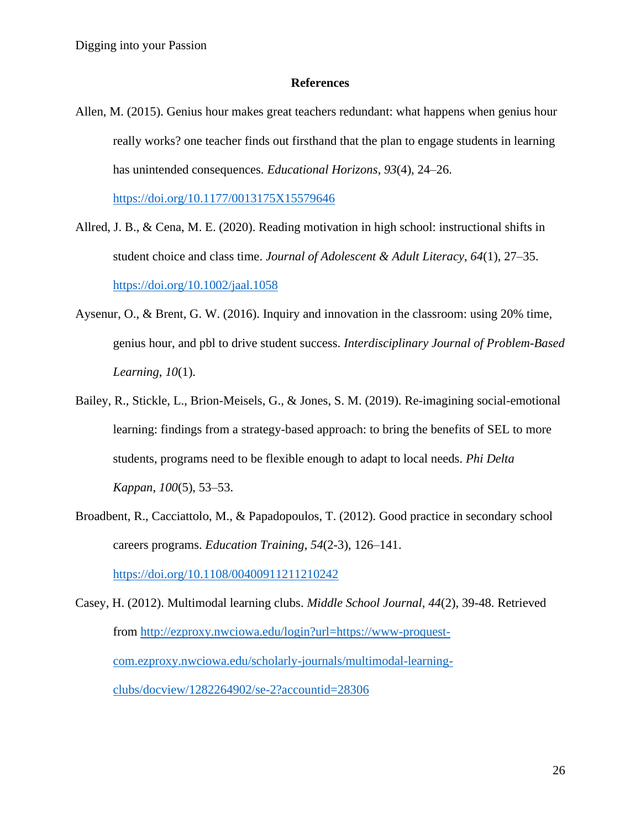#### **References**

Allen, M. (2015). Genius hour makes great teachers redundant: what happens when genius hour really works? one teacher finds out firsthand that the plan to engage students in learning has unintended consequences. *Educational Horizons*, *93*(4), 24–26.

<https://doi.org/10.1177/0013175X15579646>

- Allred, J. B., & Cena, M. E. (2020). Reading motivation in high school: instructional shifts in student choice and class time. *Journal of Adolescent & Adult Literacy*, *64*(1), 27–35. <https://doi.org/10.1002/jaal.1058>
- Aysenur, O., & Brent, G. W. (2016). Inquiry and innovation in the classroom: using 20% time, genius hour, and pbl to drive student success. *Interdisciplinary Journal of Problem-Based Learning*, *10*(1).
- Bailey, R., Stickle, L., Brion-Meisels, G., & Jones, S. M. (2019). Re-imagining social-emotional learning: findings from a strategy-based approach: to bring the benefits of SEL to more students, programs need to be flexible enough to adapt to local needs. *Phi Delta Kappan*, *100*(5), 53–53.
- Broadbent, R., Cacciattolo, M., & Papadopoulos, T. (2012). Good practice in secondary school careers programs. *Education Training*, *54*(2-3), 126–141.

<https://doi.org/10.1108/00400911211210242>

Casey, H. (2012). Multimodal learning clubs. *Middle School Journal, 44*(2), 39-48. Retrieved from [http://ezproxy.nwciowa.edu/login?url=https://www-proquest](http://ezproxy.nwciowa.edu/login?url=https://www-proquest-%09com.ezproxy.nwciowa.edu/scholarly-journals/multimodal-learning-%09clubs/docview/1282264902/se-2?accountid=28306)[com.ezproxy.nwciowa.edu/scholarly-journals/multimodal-learning](http://ezproxy.nwciowa.edu/login?url=https://www-proquest-%09com.ezproxy.nwciowa.edu/scholarly-journals/multimodal-learning-%09clubs/docview/1282264902/se-2?accountid=28306)[clubs/docview/1282264902/se-2?accountid=28306](http://ezproxy.nwciowa.edu/login?url=https://www-proquest-%09com.ezproxy.nwciowa.edu/scholarly-journals/multimodal-learning-%09clubs/docview/1282264902/se-2?accountid=28306)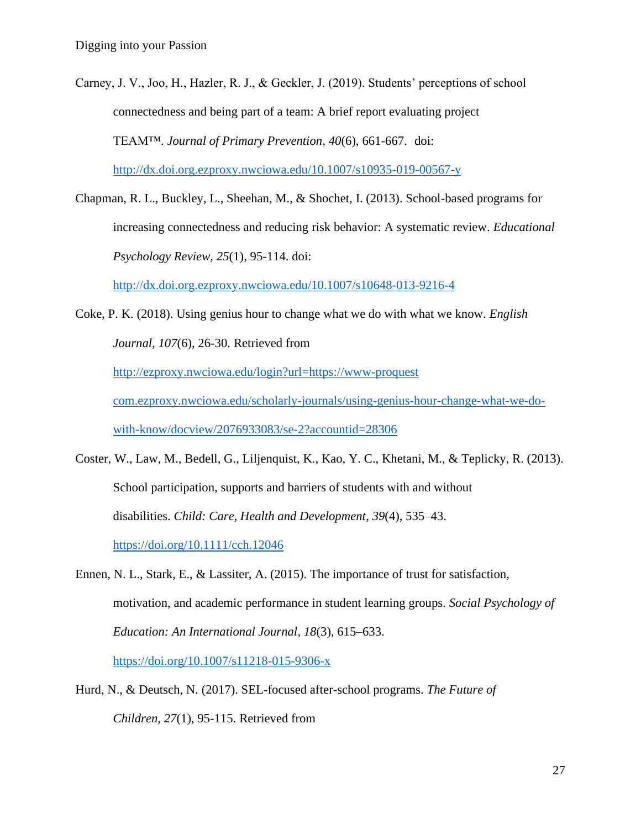Carney, J. V., Joo, H., Hazler, R. J., & Geckler, J. (2019). Students' perceptions of school connectedness and being part of a team: A brief report evaluating project TEAM™. *Journal of Primary Prevention, 40*(6), 661-667. doi: <http://dx.doi.org.ezproxy.nwciowa.edu/10.1007/s10935-019-00567-y>

Chapman, R. L., Buckley, L., Sheehan, M., & Shochet, I. (2013). School-based programs for increasing connectedness and reducing risk behavior: A systematic review. *Educational Psychology Review, 25*(1), 95-114. doi:

<http://dx.doi.org.ezproxy.nwciowa.edu/10.1007/s10648-013-9216-4>

Coke, P. K. (2018). Using genius hour to change what we do with what we know. *English Journal, 107*(6), 26-30. Retrieved from

[http://ezproxy.nwciowa.edu/login?url=https://www-proquest](http://ezproxy.nwciowa.edu/login?url=https://www-proquest%20%09com.ezproxy.nwciowa.edu/scholarly-journals/using-genius-hour-change-what-we-do-%09with-know/docview/2076933083/se-2?accountid=28306) 

[com.ezproxy.nwciowa.edu/scholarly-journals/using-genius-hour-change-what-we-do-](http://ezproxy.nwciowa.edu/login?url=https://www-proquest%20%09com.ezproxy.nwciowa.edu/scholarly-journals/using-genius-hour-change-what-we-do-%09with-know/docview/2076933083/se-2?accountid=28306)

[with-know/docview/2076933083/se-2?accountid=28306](http://ezproxy.nwciowa.edu/login?url=https://www-proquest%20%09com.ezproxy.nwciowa.edu/scholarly-journals/using-genius-hour-change-what-we-do-%09with-know/docview/2076933083/se-2?accountid=28306)

- Coster, W., Law, M., Bedell, G., Liljenquist, K., Kao, Y. C., Khetani, M., & Teplicky, R. (2013). School participation, supports and barriers of students with and without disabilities. *Child: Care, Health and Development*, *39*(4), 535–43. <https://doi.org/10.1111/cch.12046>
- Ennen, N. L., Stark, E., & Lassiter, A. (2015). The importance of trust for satisfaction, motivation, and academic performance in student learning groups. *Social Psychology of Education: An International Journal*, *18*(3), 615–633. <https://doi.org/10.1007/s11218-015-9306-x>
- Hurd, N., & Deutsch, N. (2017). SEL-focused after-school programs. *The Future of Children, 27*(1), 95-115. Retrieved from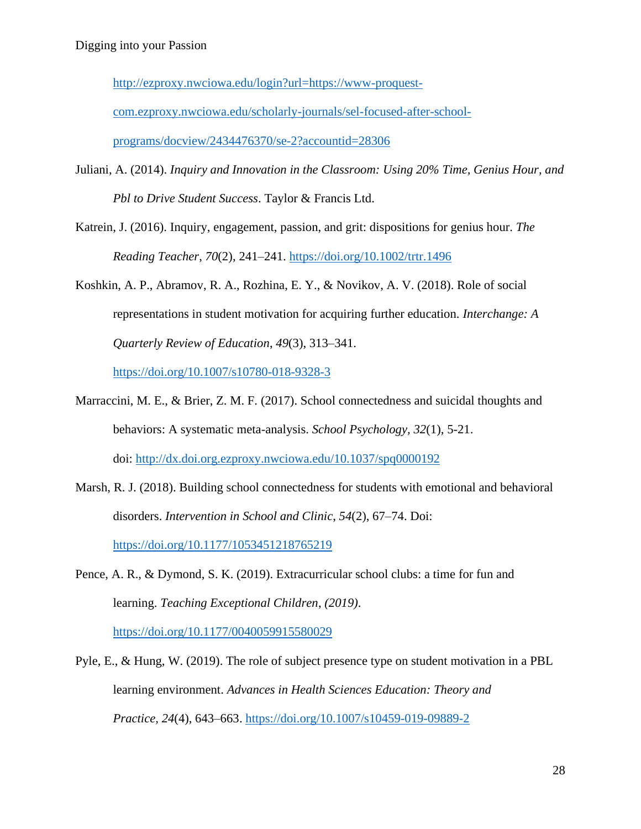[http://ezproxy.nwciowa.edu/login?url=https://www-proquest-](http://ezproxy.nwciowa.edu/login?url=https://www-proquest-%09com.ezproxy.nwciowa.edu/scholarly-journals/sel-focused-after-school-%09programs/docview/2434476370/se-2?accountid=28306)

[com.ezproxy.nwciowa.edu/scholarly-journals/sel-focused-after-school-](http://ezproxy.nwciowa.edu/login?url=https://www-proquest-%09com.ezproxy.nwciowa.edu/scholarly-journals/sel-focused-after-school-%09programs/docview/2434476370/se-2?accountid=28306)

[programs/docview/2434476370/se-2?accountid=28306](http://ezproxy.nwciowa.edu/login?url=https://www-proquest-%09com.ezproxy.nwciowa.edu/scholarly-journals/sel-focused-after-school-%09programs/docview/2434476370/se-2?accountid=28306)

- Juliani, A. (2014). *Inquiry and Innovation in the Classroom: Using 20% Time, Genius Hour, and Pbl to Drive Student Success*. Taylor & Francis Ltd.
- Katrein, J. (2016). Inquiry, engagement, passion, and grit: dispositions for genius hour. *The Reading Teacher*, *70*(2), 241–241.<https://doi.org/10.1002/trtr.1496>
- Koshkin, A. P., Abramov, R. A., Rozhina, E. Y., & Novikov, A. V. (2018). Role of social representations in student motivation for acquiring further education. *Interchange: A Quarterly Review of Education*, *49*(3), 313–341.

<https://doi.org/10.1007/s10780-018-9328-3>

- Marraccini, M. E., & Brier, Z. M. F. (2017). School connectedness and suicidal thoughts and behaviors: A systematic meta-analysis. *School Psychology, 32*(1), 5-21. doi: <http://dx.doi.org.ezproxy.nwciowa.edu/10.1037/spq0000192>
- Marsh, R. J. (2018). Building school connectedness for students with emotional and behavioral disorders. *Intervention in School and Clinic*, *54*(2), 67–74. Doi: <https://doi.org/10.1177/1053451218765219>
- Pence, A. R., & Dymond, S. K. (2019). Extracurricular school clubs: a time for fun and learning. *Teaching Exceptional Children*, *(2019)*. <https://doi.org/10.1177/0040059915580029>
- Pyle, E., & Hung, W. (2019). The role of subject presence type on student motivation in a PBL learning environment. *Advances in Health Sciences Education: Theory and Practice*, *24*(4), 643–663.<https://doi.org/10.1007/s10459-019-09889-2>